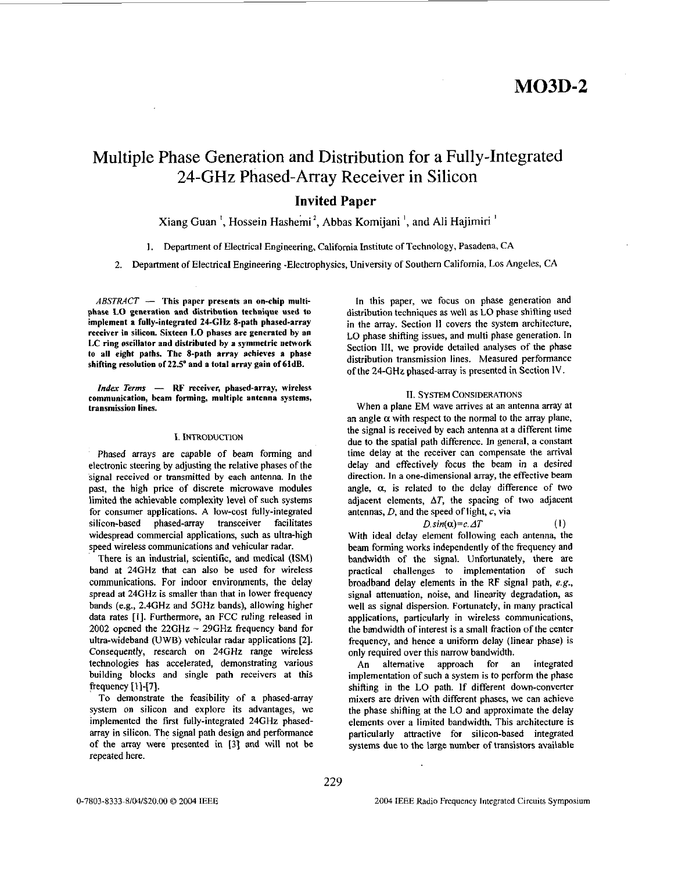# **M03D-2**

# Multiple Phase Generation and Distribution for a Fully-Integrated 24-GHz Phased-Array Receiver in Silicon

### **Invited Paper**

### Xiang Guan<sup>1</sup>, Hossein Hashemi<sup>2</sup>, Abbas Komijani<sup>1</sup>, and Ali Hajimiri<sup>1</sup>

**1.** Department of Electrical Engineering, California Institute of Technology, Pasadena, CA

**2.** Department of Electrical Engineering -Electrophysics, University of Southern California, Los Angeles, CA

 $ABSTRACT$  - This paper presents an on-chip multiphase LO generation and distribution technique **used** to implement **a** fully-integrated **244%** 8-path phased-array receiver in silicon. Sixteen LO phases are generated hy an LC ring oscillator and distributed **hy a** symmetric network to all eight paths. The 8-path array achieves a phase shifting resolution of *22.5'* and a total array gain of 6idB.

*Index Terms* - RF receiver, phased-array, wireless communication, beam forming, multiple antenna systems, transmission lines.

#### I. INTRODUCTION

Phased arrays are capable of beam forming and electronic steering by adjusting the relative phases of the signal received or transmitted by each antenna. In the past, the high price of discrete microwave modules limited the achievable complexity level of such systems for consumer applications. **A** low-cost fully-integrated silicon-based phased-array transceiver facilitates widespread commercial applications, such **as** ultra-high speed wireless communications and vehicular radar.

There is an industrial, scientific, and medical (ISM) band at **24GHz** that can also be used for wireless communications. For indoor environments, the delay spread at **24GHz** is smaller than that in lower frequency bands (e.g., **2.4GHz** and **5GHz** bands), allowing higher data rates [I]. Furthermore, an FCC ruling released in **<sup>2002</sup>**opened the **22GHz** - **29GHz** frequency band for ultra-wideband (UWB) vehicular radar applications **[2].**  Consequently, research on **24GHz** range wireless technologies has accelerated, demonstrating various building blocks and single path receivers at this frequency **[1]-[7].** 

To demonstrate the feasibility of a phased-array system on silicon and explore its advantages, we implemented the first fully-integrated **24GHz** phasedarray in silicon. The signal path design and performance of the array were presented in [3] and will not be repeated here.

In this paper, we focus on phase generation and distribution techniques **as** well **as** LO phase shifting used in the array. Section **11** covers the system architecture, LO phase shifling issues, and multi phase generation. In Section **111,** we provide detailed analyses of the phase distribution transmission lines. Measured performance of the **24-GHz** phased-array *is* presented in Section IV.

#### **11. SYSTEM** CONSIDERATIONS

When a plane EM wave arrives at an antenna array at an angle  $\alpha$  with respect to the normal to the array plane, the signal is received by each antenna at a different time due to the spatial path difference. In general, a constant time delay at the receiver can compensate the arrival delay and effectively focus the beam in a desired direction. In a one-dimensional array, the effective beam angle,  $\alpha$ , is related to the delay difference of two adjacent elements,  $\Delta T$ , the spacing of two adjacent antennas, *D,* and the speed of light, c, via

#### $D \sin(\alpha) = c \cdot \Delta T$  (1)

With ideal delay element following each antenna, the beam forming works independently of the frequency and bandwidth of the signal. Unfortunately, there are practical challenges to implementation of such broadband delay elements in the RF signal path, *e.g.*, signal attenuation, noise, and linearity degradation, **as**  well **as** signal dispersion. Fortunately, in many practical applications, particularly in wireless communications, the bandwidth of interest is a small fraction *of* the center frequency, and hence a uniform delay (linear phase) is only required over this narrow bandwidth.

An alternative approach for an integrated implementation of such a system is to perform the phase shifting in the LO path. If different down-converter mixers are driven with different phases, we can achieve the phase shifting at the LO and approximate the delay elements over a limited bandwidth. This architecture is particularly attractive for silicon-based integrated systems due to the large number of transistors available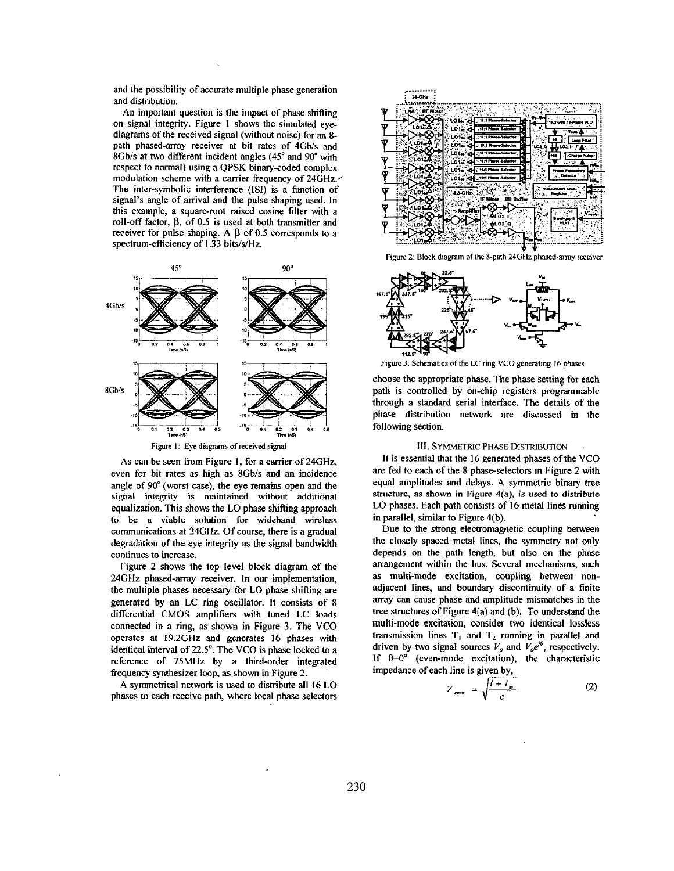and the possibility of accurate multiple phase generation and distribution.

An important question is the impact of phase shifting on signal integrity. Figure 1 shows the simulated eyediagrams of the received signal (without noise) for an **8**  path phased-array receiver at bit rates of 4Gb/s and 8Gbis at two different incident angles **(45"** and **90"** with respect to normal) using a **QfSK** binary-coded complex modulation scheme with a carrier frequency of **24GHz.'**  The inter-symbolic interference **(ISI)** is a function of signal's angle of arrival and the pulse shaping used. In this example, a square-root raised cosine filter with a roll-off factor, β, of 0.5 is used at both transmitter and receiver for pulse shaping. A  $\beta$  of 0.5 corresponds to a spectrum-efficiency of 1.33 bits/s/Hz.



As can **be** seen from Figure **1,** for a carrier of **24GHz,**  even for bit rates as high as 8Gb/s and an incidence angle of **90"** (worst case), the eye remains open and the signal integrity is maintained without additional equalization. This shows the LO phase shifting approach **to be** a viable solution for wideband wireless communications **at 24GHz.** Of course, there is a gradual degradation of the eye integrity **as** the signal bandwidth continues to increase.

Figure **2** shows the top level block diagram of the **24GHz** phased-may receiver. **In** our implementation, the multiple phases necessary for LO phase shifting are generated by an LC ring oscillator. It consists of 8 differential CMOS amplifiers with tuned LC loads connected in a ring, **as** shown in Figure 3. The VCO operates at **19.2GHz** and generates **16** phases with identical interval of **22.5".** The VCO is phase locked to a reference of **75MHz** by a third-order integrated frequency synthesizer loop, **as** shown in Figure **2.** 

**A** symmetrical network is used to distribute all **16** LO phases to each receive path, where local phase selectors



Figure 2: Block diagram of the 8-path 24GHz phased-array receiver



Figure 3: Schematics of the LC ring VCO generating 16 phases

choose the appropriate phase. The phase setting for each path is controlled by on-chip registers programmable through a standard serial interface. The details of the phase distribution network are discussed in the following section.

#### **111. SYMMETRlC PHASE** DISTRIBUTION

It is essential that the 16 generated phases of the VCO are fed to each of the 8 phase-selectors in Figure **2** with equal amplitudes and delays. **A** symmetric binary tree structure, as shown in Figure  $4(a)$ , is used to distribute LO phases. Each path consists of **16** metal lines running in parallel, similar to Figure 4(b).

Due to the strong electromagnetic coupling between the closely spaced metal lines, the symmetry not only depends on the path length, but also on the phase arrangement within the bus. Several mechanisms, such **as** multi-mode excitation, coupling between nonadjacent lines, and boundary discontinuity of a finite array can cause phase and amplitude mismatches in the tree structures of Figure 4(a) and (b). To understand the multi-mode excitation, consider two identical lossless transmission lines  $T_1$  and  $T_2$  running in parallel and driven by two signal sources  $V_o$  and  $V_o e^{i\theta}$ , respectively. If  $\theta=0^{\circ}$  (even-mode excitation), the characteristic impedance of each line is given by,

$$
Z_{\text{even}} = \sqrt{\frac{l + l_m}{c}} \tag{2}
$$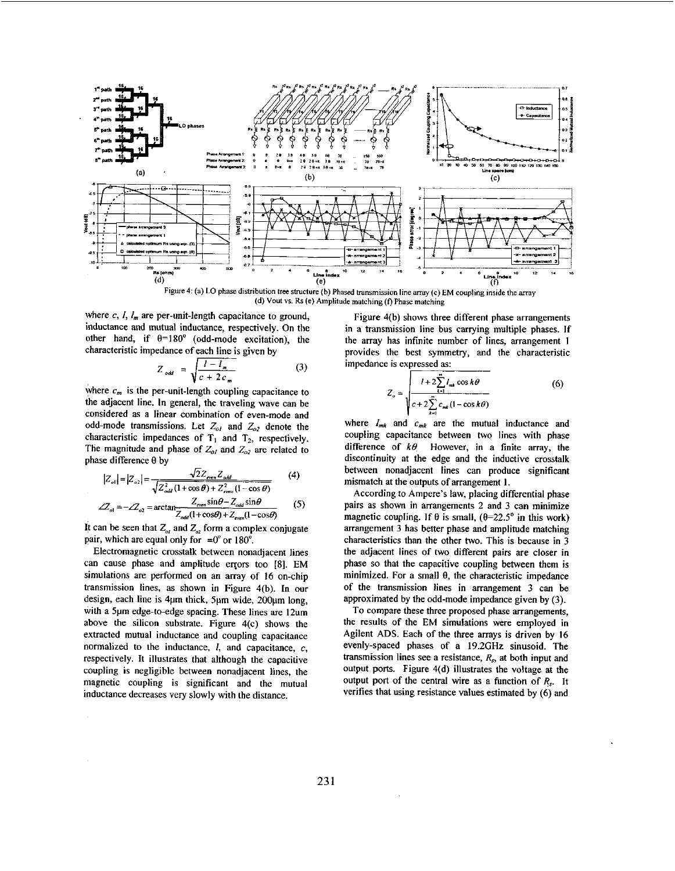

Figure 4: (a) LO phase distribution tree structure (b) Phased transmission line array (c) EM coupling inside the array **(d) Voul VI. Rr (e) Amplitude matching** (0 **Phase matching** 

where  $c, l, l_m$  are per-unit-length capacitance to ground, inductance and mutual inductance, respectively. **On** the other hand, if  $\theta = 180^\circ$  (odd-mode excitation), the characteristic impedance ofeach line is given by

$$
Z_{odd} = \sqrt{\frac{l - l_m}{c + 2c_m}}
$$
 (3)

where  $c_m$  is the per-unit-length coupling capacitance to the adjacent line. **In** general, the traveling wave can be considered **as** a linear combination of even-mode and odd-mode transmissions. Let  $Z_{ol}$  and  $Z_{o2}$  denote the characteristic impedances of  $T_1$  and  $T_2$ , respectively. The magnitude and phase of  $Z_{ol}$  and  $Z_{ol}$  are related to phase difference **8** by

$$
|Z_{ol}| = |Z_{ol}| = \frac{\sqrt{2}Z_{even}Z_{odd}}{\sqrt{Z_{odd}^2(1+\cos\theta) + Z_{even}^2(1-\cos\theta)}} \tag{4}
$$
  

$$
Z_{\sin\theta - Z_{off}} = \frac{Z_{off}}{\sin\theta - Z_{off}}
$$

$$
\angle Z_{ol} = -\mathcal{L}_{o2} = \arctan \frac{Z_{\text{even}} \sin \theta - Z_{\text{odd}} \sin \theta}{Z_{\text{odd}} (1 + \cos \theta) + Z_{\text{even}} (1 - \cos \theta)} \tag{5}
$$

It can be seen that  $Z_{ol}$  and  $Z_{ol}$  form a complex conjugate pair, which are equal only for  $=0^{\circ}$  or 180°.

Electromagnetic crosstalk between nonadjacent lines can cause phase and amplitude errors too [8]. EM simulations are performed on an array of **16** on-chip transmission lines, as shown in Figure 4(b). In our design, each line is 4µm thick, 5µm wide, 200µm long, with a 5pm edge-to-edge spacing. These lines are 12um above the silicon substrate. Figure 4(c) shows the extracted mutual inductance and coupling capacitance normalized to the inductance,  $l$ , and capacitance,  $c$ , respectively. It illustrates that although the capacitive coupling is negligible between nonadjacent lines, the magnetic coupling is significant and the mutual inductance decreases very slowly with the distance.

Figure 4(b) shows three different phase arrangements in a transmission line bus carrying multiple phases. If the array has infinite number of lines, arrangement **1**  provides the best symmetry, and the characteristic impedance is expressed **as:** 

$$
Z_o = \sqrt{\frac{l + 2\sum_{k=1}^{n} l_{mk} \cos k\theta}{c + 2\sum_{k=1}^{n} c_{mk} (1 - \cos k\theta)}}
$$
(6)

where  $I_{mk}$  and  $c_{mk}$  are the mutual inductance and coupling capacitance between two lines with phase difference of  $k\theta$  However, in a finite array, the discontinuity at the edge and the inductive crosstalk between nonadjacent lines can produce significant mismatch at the outputs of arrangement **1.** 

According to Ampere's law, placing differential phase pairs as shown in arrangements 2 and 3 can minimize magnetic coupling. If  $\theta$  is small,  $(\theta=22.5^{\circ})$  in this work) arrangement 3 bas better phase and amplitude matching characteristics than the other two. This is because in 3 the adjacent lines of two different pairs are closer in phase so that the capacitive coupling between them is minimized. For a small  $\theta$ , the characteristic impedance of the transmission lines in arrangement 3 can be approximated **by** the odd-mode impedance given by (3).

To compare these three proposed phase arrangements, the results of the EM simulations were employed in Agilent ADS. Each of the three arrays is driven by **16**  evenly-spaced phases of a **19.2GHz** sinusoid. The transmission lines see a resistance,  $R_s$ , at both input and output ports. Figure 4(d) illustrates the voltage at the output port of the central wire **as** a function of *Rs.* It verifies that using resistance values estimated by (6) and